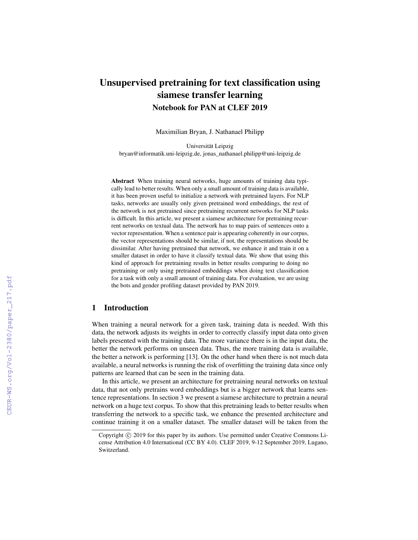# Unsupervised pretraining for text classification using siamese transfer learning Notebook for PAN at CLEF 2019

Maximilian Bryan, J. Nathanael Philipp

Universität Leipzig bryan@informatik.uni-leipzig.de, jonas\_nathanael.philipp@uni-leipzig.de

Abstract When training neural networks, huge amounts of training data typically lead to better results. When only a small amount of training data is available, it has been proven useful to initialize a network with pretrained layers. For NLP tasks, networks are usually only given pretrained word embeddings, the rest of the network is not pretrained since pretraining recurrent networks for NLP tasks is difficult. In this article, we present a siamese architecture for pretraining recurrent networks on textual data. The network has to map pairs of sentences onto a vector representation. When a sentence pair is appearing coherently in our corpus, the vector representations should be similar, if not, the representations should be dissimilar. After having pretrained that network, we enhance it and train it on a smaller dataset in order to have it classify textual data. We show that using this kind of approach for pretraining results in better results comparing to doing no pretraining or only using pretrained embeddings when doing text classification for a task with only a small amount of training data. For evaluation, we are using the bots and gender profiling dataset provided by PAN 2019.

## 1 Introduction

When training a neural network for a given task, training data is needed. With this data, the network adjusts its weights in order to correctly classify input data onto given labels presented with the training data. The more variance there is in the input data, the better the network performs on unseen data. Thus, the more training data is available, the better a network is performing [13]. On the other hand when there is not much data available, a neural networks is running the risk of overfitting the training data since only patterns are learned that can be seen in the training data.

In this article, we present an architecture for pretraining neural networks on textual data, that not only pretrains word embeddings but is a bigger network that learns sentence representations. In section 3 we present a siamese architecture to pretrain a neural network on a huge text corpus. To show that this pretraining leads to better results when transferring the network to a specific task, we enhance the presented architecture and continue training it on a smaller dataset. The smaller dataset will be taken from the

Copyright © 2019 for this paper by its authors. Use permitted under Creative Commons License Attribution 4.0 International (CC BY 4.0). CLEF 2019, 9-12 September 2019, Lugano, Switzerland.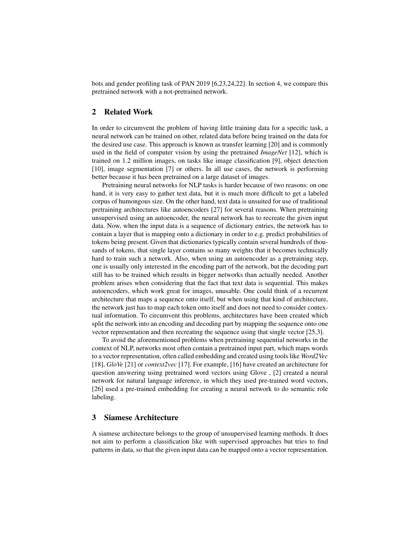bots and gender profiling task of PAN 2019 [6,23,24,22]. In section 4, we compare this pretrained network with a not-pretrained network.

# 2 Related Work

In order to circumvent the problem of having little training data for a specific task, a neural network can be trained on other, related data before being trained on the data for the desired use case. This approach is known as transfer learning [20] and is commonly used in the field of computer vision by using the pretrained *ImageNet* [12], which is trained on 1.2 million images, on tasks like image classification [9], object detection [10], image segmentation [7] or others. In all use cases, the network is performing better because it has been pretrained on a large dataset of images.

Pretraining neural networks for NLP tasks is harder because of two reasons: on one hand, it is very easy to gather text data, but it is much more difficult to get a labeled corpus of humongous size. On the other hand, text data is unsuited for use of traditional pretraining architectures like autoencoders [27] for several reasons. When pretraining unsupervised using an autoencoder, the neural network has to recreate the given input data. Now, when the input data is a sequence of dictionary entries, the network has to contain a layer that is mapping onto a dictionary in order to e.g. predict probabilities of tokens being present. Given that dictionaries typically contain several hundreds of thousands of tokens, that single layer contains so many weights that it becomes technically hard to train such a network. Also, when using an autoencoder as a pretraining step, one is usually only interested in the encoding part of the network, but the decoding part still has to be trained which results in bigger networks than actually needed. Another problem arises when considering that the fact that text data is sequential. This makes autoencoders, which work great for images, unusable. One could think of a recurrent architecture that maps a sequence onto itself, but when using that kind of architecture, the network just has to map each token onto itself and does not need to consider contextual information. To circumvent this problems, architectures have been created which split the network into an encoding and decoding part by mapping the sequence onto one vector representation and then recreating the sequence using that single vector [25,3].

To avoid the aforementioned problems when pretraining sequential networks in the context of NLP, networks most often contain a pretrained input part, which maps words to a vector representation, often called embedding and created using tools like *Word2Vec* [18], *GloVe* [21] or *context2vec* [17]. For example, [16] have created an architecture for question answering using pretrained word vectors using Glove , [2] created a neural network for natural language inference, in which they used pre-trained word vectors, [26] used a pre-trained embedding for creating a neural network to do semantic role labeling.

#### 3 Siamese Architecture

A siamese architecture belongs to the group of unsupervised learning methods. It does not aim to perform a classification like with supervised approaches but tries to find patterns in data, so that the given input data can be mapped onto a vector representation.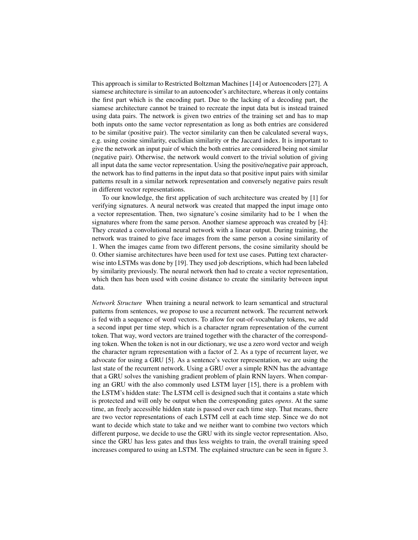This approach is similar to Restricted Boltzman Machines [14] or Autoencoders [27]. A siamese architecture is similar to an autoencoder's architecture, whereas it only contains the first part which is the encoding part. Due to the lacking of a decoding part, the siamese architecture cannot be trained to recreate the input data but is instead trained using data pairs. The network is given two entries of the training set and has to map both inputs onto the same vector representation as long as both entries are considered to be similar (positive pair). The vector similarity can then be calculated several ways, e.g. using cosine similarity, euclidian similarity or the Jaccard index. It is important to give the network an input pair of which the both entries are considered being not similar (negative pair). Otherwise, the network would convert to the trivial solution of giving all input data the same vector representation. Using the positive/negative pair approach, the network has to find patterns in the input data so that positive input pairs with similar patterns result in a similar network representation and conversely negative pairs result in different vector representations.

To our knowledge, the first application of such architecture was created by [1] for verifying signatures. A neural network was created that mapped the input image onto a vector representation. Then, two signature's cosine similarity had to be 1 when the signatures where from the same person. Another siamese approach was created by [4]: They created a convolutional neural network with a linear output. During training, the network was trained to give face images from the same person a cosine similarity of 1. When the images came from two different persons, the cosine similarity should be 0. Other siamise architectures have been used for text use cases. Putting text characterwise into LSTMs was done by [19]. They used job descriptions, which had been labeled by similarity previously. The neural network then had to create a vector representation, which then has been used with cosine distance to create the similarity between input data.

*Network Structure* When training a neural network to learn semantical and structural patterns from sentences, we propose to use a recurrent network. The recurrent network is fed with a sequence of word vectors. To allow for out-of-vocabulary tokens, we add a second input per time step, which is a character ngram representation of the current token. That way, word vectors are trained together with the character of the corresponding token. When the token is not in our dictionary, we use a zero word vector and weigh the character ngram representation with a factor of 2. As a type of recurrent layer, we advocate for using a GRU [5]. As a sentence's vector representation, we are using the last state of the recurrent network. Using a GRU over a simple RNN has the advantage that a GRU solves the vanishing gradient problem of plain RNN layers. When comparing an GRU with the also commonly used LSTM layer [15], there is a problem with the LSTM's hidden state: The LSTM cell is designed such that it contains a state which is protected and will only be output when the corresponding gates *opens*. At the same time, an freely accessible hidden state is passed over each time step. That means, there are two vector representations of each LSTM cell at each time step. Since we do not want to decide which state to take and we neither want to combine two vectors which different purpose, we decide to use the GRU with its single vector representation. Also, since the GRU has less gates and thus less weights to train, the overall training speed increases compared to using an LSTM. The explained structure can be seen in figure 3.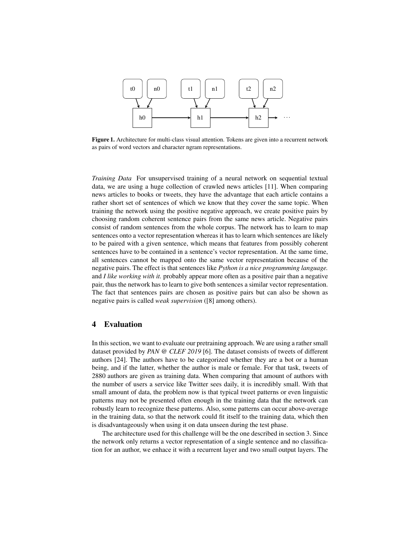

Figure 1. Architecture for multi-class visual attention. Tokens are given into a recurrent network as pairs of word vectors and character ngram representations.

*Training Data* For unsupervised training of a neural network on sequential textual data, we are using a huge collection of crawled news articles [11]. When comparing news articles to books or tweets, they have the advantage that each article contains a rather short set of sentences of which we know that they cover the same topic. When training the network using the positive negative approach, we create positive pairs by choosing random coherent sentence pairs from the same news article. Negative pairs consist of random sentences from the whole corpus. The network has to learn to map sentences onto a vector representation whereas it has to learn which sentences are likely to be paired with a given sentence, which means that features from possibly coherent sentences have to be contained in a sentence's vector representation. At the same time, all sentences cannot be mapped onto the same vector representation because of the negative pairs. The effect is that sentences like *Python is a nice programming language.* and *I like working with it.* probably appear more often as a positive pair than a negative pair, thus the network has to learn to give both sentences a similar vector representation. The fact that sentences pairs are chosen as positive pairs but can also be shown as negative pairs is called *weak supervision* ([8] among others).

#### 4 Evaluation

In this section, we want to evaluate our pretraining approach. We are using a rather small dataset provided by *PAN @ CLEF 2019* [6]. The dataset consists of tweets of different authors [24]. The authors have to be categorized whether they are a bot or a human being, and if the latter, whether the author is male or female. For that task, tweets of 2880 authors are given as training data. When comparing that amount of authors with the number of users a service like Twitter sees daily, it is incredibly small. With that small amount of data, the problem now is that typical tweet patterns or even linguistic patterns may not be presented often enough in the training data that the network can robustly learn to recognize these patterns. Also, some patterns can occur above-average in the training data, so that the network could fit itself to the training data, which then is disadvantageously when using it on data unseen during the test phase.

The architecture used for this challenge will be the one described in section 3. Since the network only returns a vector representation of a single sentence and no classification for an author, we enhace it with a recurrent layer and two small output layers. The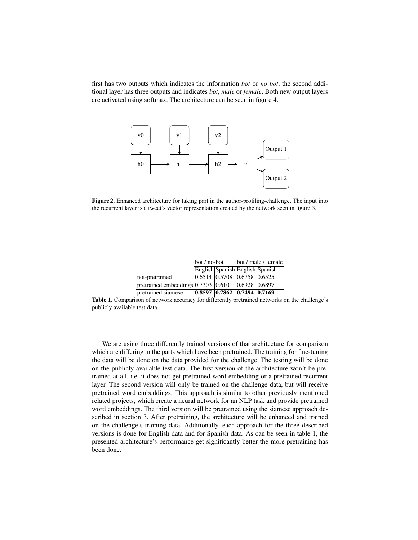first has two outputs which indicates the information *bot* or *no bot*, the second additional layer has three outputs and indicates *bot*, *male* or *female*. Both new output layers are activated using softmax. The architecture can be seen in figure 4.



Figure 2. Enhanced architecture for taking part in the author-profiling-challenge. The input into the recurrent layer is a tweet's vector representation created by the network seen in figure 3.

|                                                           | $\vert$ bot / no-bot |                                                       | bot / male / female |  |
|-----------------------------------------------------------|----------------------|-------------------------------------------------------|---------------------|--|
|                                                           |                      | English Spanish English Spanish                       |                     |  |
| not-pretrained                                            |                      | 0.6514 0.5708 0.6758 0.6525                           |                     |  |
| pretrained embeddings $0.7303$ $0.6101$ $0.6928$ $0.6897$ |                      |                                                       |                     |  |
| pretrained siamese                                        |                      | $\vert 0.8597 \vert 0.7862 \vert 0.7494 \vert 0.7169$ |                     |  |

Table 1. Comparison of network accuracy for differently pretrained networks on the challenge's publicly available test data.

We are using three differently trained versions of that architecture for comparison which are differing in the parts which have been pretrained. The training for fine-tuning the data will be done on the data provided for the challenge. The testing will be done on the publicly available test data. The first version of the architecture won't be pretrained at all, i.e. it does not get pretrained word embedding or a pretrained recurrent layer. The second version will only be trained on the challenge data, but will receive pretrained word embeddings. This approach is similar to other previously mentioned related projects, which create a neural network for an NLP task and provide pretrained word embeddings. The third version will be pretrained using the siamese approach described in section 3. After pretraining, the architecture will be enhanced and trained on the challenge's training data. Additionally, each approach for the three described versions is done for English data and for Spanish data. As can be seen in table 1, the presented architecture's performance get significantly better the more pretraining has been done.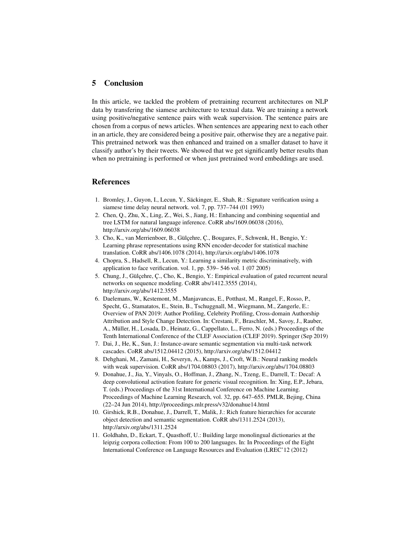### 5 Conclusion

In this article, we tackled the problem of pretraining recurrent architectures on NLP data by transfering the siamese architecture to textual data. We are training a network using positive/negative sentence pairs with weak supervision. The sentence pairs are chosen from a corpus of news articles. When sentences are appearing next to each other in an article, they are considered being a positive pair, otherwise they are a negative pair. This pretrained network was then enhanced and trained on a smaller dataset to have it classify author's by their tweets. We showed that we get significantly better results than when no pretraining is performed or when just pretrained word embeddings are used.

#### References

- 1. Bromley, J., Guyon, I., Lecun, Y., Säckinger, E., Shah, R.: Signature verification using a siamese time delay neural network. vol. 7, pp. 737–744 (01 1993)
- 2. Chen, Q., Zhu, X., Ling, Z., Wei, S., Jiang, H.: Enhancing and combining sequential and tree LSTM for natural language inference. CoRR abs/1609.06038 (2016), http://arxiv.org/abs/1609.06038
- 3. Cho, K., van Merrienboer, B., Gülçehre, Ç., Bougares, F., Schwenk, H., Bengio, Y.: Learning phrase representations using RNN encoder-decoder for statistical machine translation. CoRR abs/1406.1078 (2014), http://arxiv.org/abs/1406.1078
- 4. Chopra, S., Hadsell, R., Lecun, Y.: Learning a similarity metric discriminatively, with application to face verification. vol. 1, pp. 539– 546 vol. 1 (07 2005)
- 5. Chung, J., Gülçehre, Ç., Cho, K., Bengio, Y.: Empirical evaluation of gated recurrent neural networks on sequence modeling. CoRR abs/1412.3555 (2014), http://arxiv.org/abs/1412.3555
- 6. Daelemans, W., Kestemont, M., Manjavancas, E., Potthast, M., Rangel, F., Rosso, P., Specht, G., Stamatatos, E., Stein, B., Tschuggnall, M., Wiegmann, M., Zangerle, E.: Overview of PAN 2019: Author Profiling, Celebrity Profiling, Cross-domain Authorship Attribution and Style Change Detection. In: Crestani, F., Braschler, M., Savoy, J., Rauber, A., Müller, H., Losada, D., Heinatz, G., Cappellato, L., Ferro, N. (eds.) Proceedings of the Tenth International Conference of the CLEF Association (CLEF 2019). Springer (Sep 2019)
- 7. Dai, J., He, K., Sun, J.: Instance-aware semantic segmentation via multi-task network cascades. CoRR abs/1512.04412 (2015), http://arxiv.org/abs/1512.04412
- 8. Dehghani, M., Zamani, H., Severyn, A., Kamps, J., Croft, W.B.: Neural ranking models with weak supervision. CoRR abs/1704.08803 (2017), http://arxiv.org/abs/1704.08803
- 9. Donahue, J., Jia, Y., Vinyals, O., Hoffman, J., Zhang, N., Tzeng, E., Darrell, T.: Decaf: A deep convolutional activation feature for generic visual recognition. In: Xing, E.P., Jebara, T. (eds.) Proceedings of the 31st International Conference on Machine Learning. Proceedings of Machine Learning Research, vol. 32, pp. 647–655. PMLR, Bejing, China (22–24 Jun 2014), http://proceedings.mlr.press/v32/donahue14.html
- 10. Girshick, R.B., Donahue, J., Darrell, T., Malik, J.: Rich feature hierarchies for accurate object detection and semantic segmentation. CoRR abs/1311.2524 (2013), http://arxiv.org/abs/1311.2524
- 11. Goldhahn, D., Eckart, T., Quasthoff, U.: Building large monolingual dictionaries at the leipzig corpora collection: From 100 to 200 languages. In: In Proceedings of the Eight International Conference on Language Resources and Evaluation (LREC'12 (2012)